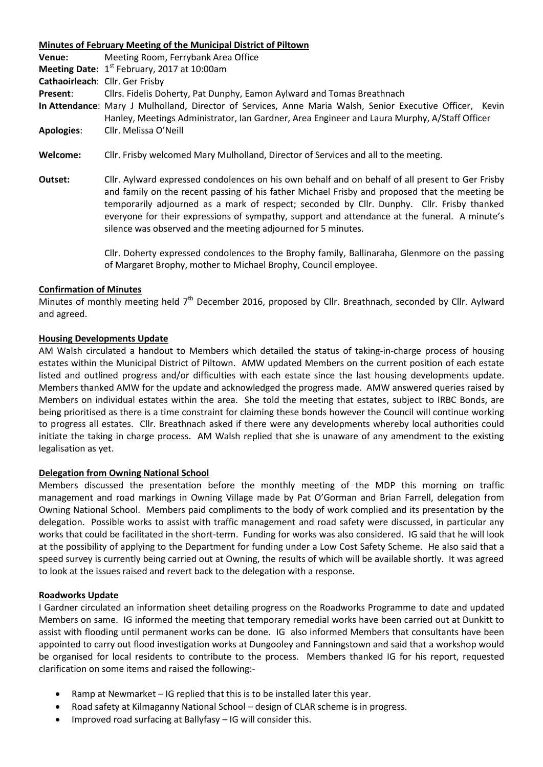**Minutes of February Meeting of the Municipal District of Piltown Venue:** Meeting Room, Ferrybank Area Office **Meeting Date:** 1<sup>st</sup> February, 2017 at 10:00am **Cathaoirleach**: Cllr. Ger Frisby **Present**: Cllrs. Fidelis Doherty, Pat Dunphy, Eamon Aylward and Tomas Breathnach **In Attendance**: Mary J Mulholland, Director of Services, Anne Maria Walsh, Senior Executive Officer, Kevin Hanley, Meetings Administrator, Ian Gardner, Area Engineer and Laura Murphy, A/Staff Officer **Apologies**: Cllr. Melissa O'Neill

- **Welcome:** Cllr. Frisby welcomed Mary Mulholland, Director of Services and all to the meeting.
- **Outset:** Cllr. Aylward expressed condolences on his own behalf and on behalf of all present to Ger Frisby and family on the recent passing of his father Michael Frisby and proposed that the meeting be temporarily adjourned as a mark of respect; seconded by Cllr. Dunphy. Cllr. Frisby thanked everyone for their expressions of sympathy, support and attendance at the funeral. A minute's silence was observed and the meeting adjourned for 5 minutes.

Cllr. Doherty expressed condolences to the Brophy family, Ballinaraha, Glenmore on the passing of Margaret Brophy, mother to Michael Brophy, Council employee.

## **Confirmation of Minutes**

Minutes of monthly meeting held 7<sup>th</sup> December 2016, proposed by Cllr. Breathnach, seconded by Cllr. Aylward and agreed.

# **Housing Developments Update**

AM Walsh circulated a handout to Members which detailed the status of taking-in-charge process of housing estates within the Municipal District of Piltown. AMW updated Members on the current position of each estate listed and outlined progress and/or difficulties with each estate since the last housing developments update. Members thanked AMW for the update and acknowledged the progress made. AMW answered queries raised by Members on individual estates within the area. She told the meeting that estates, subject to IRBC Bonds, are being prioritised as there is a time constraint for claiming these bonds however the Council will continue working to progress all estates. Cllr. Breathnach asked if there were any developments whereby local authorities could initiate the taking in charge process. AM Walsh replied that she is unaware of any amendment to the existing legalisation as yet.

## **Delegation from Owning National School**

Members discussed the presentation before the monthly meeting of the MDP this morning on traffic management and road markings in Owning Village made by Pat O'Gorman and Brian Farrell, delegation from Owning National School. Members paid compliments to the body of work complied and its presentation by the delegation. Possible works to assist with traffic management and road safety were discussed, in particular any works that could be facilitated in the short-term. Funding for works was also considered. IG said that he will look at the possibility of applying to the Department for funding under a Low Cost Safety Scheme. He also said that a speed survey is currently being carried out at Owning, the results of which will be available shortly. It was agreed to look at the issues raised and revert back to the delegation with a response.

## **Roadworks Update**

I Gardner circulated an information sheet detailing progress on the Roadworks Programme to date and updated Members on same. IG informed the meeting that temporary remedial works have been carried out at Dunkitt to assist with flooding until permanent works can be done. IG also informed Members that consultants have been appointed to carry out flood investigation works at Dungooley and Fanningstown and said that a workshop would be organised for local residents to contribute to the process. Members thanked IG for his report, requested clarification on some items and raised the following:-

- Ramp at Newmarket IG replied that this is to be installed later this year.
- Road safety at Kilmaganny National School design of CLAR scheme is in progress.
- Improved road surfacing at Ballyfasy IG will consider this.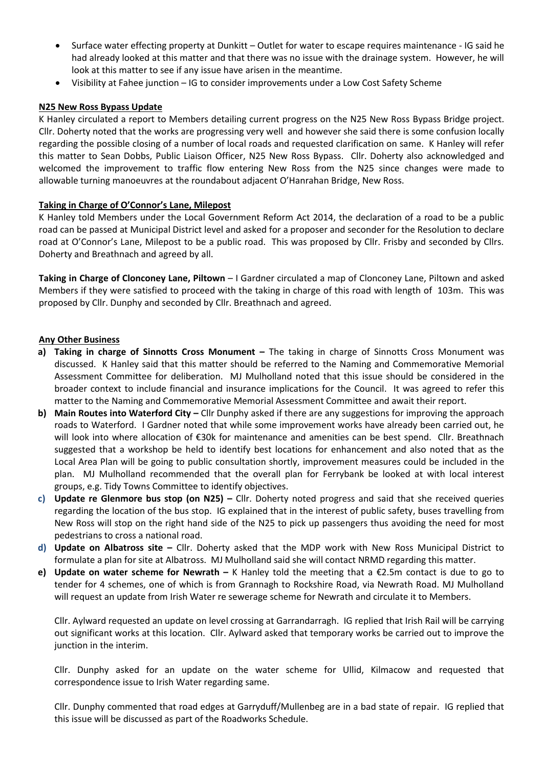- Surface water effecting property at Dunkitt Outlet for water to escape requires maintenance IG said he had already looked at this matter and that there was no issue with the drainage system. However, he will look at this matter to see if any issue have arisen in the meantime.
- Visibility at Fahee junction IG to consider improvements under a Low Cost Safety Scheme

# **N25 New Ross Bypass Update**

K Hanley circulated a report to Members detailing current progress on the N25 New Ross Bypass Bridge project. Cllr. Doherty noted that the works are progressing very well and however she said there is some confusion locally regarding the possible closing of a number of local roads and requested clarification on same. K Hanley will refer this matter to Sean Dobbs, Public Liaison Officer, N25 New Ross Bypass. Cllr. Doherty also acknowledged and welcomed the improvement to traffic flow entering New Ross from the N25 since changes were made to allowable turning manoeuvres at the roundabout adjacent O'Hanrahan Bridge, New Ross.

# **Taking in Charge of O'Connor's Lane, Milepost**

K Hanley told Members under the Local Government Reform Act 2014, the declaration of a road to be a public road can be passed at Municipal District level and asked for a proposer and seconder for the Resolution to declare road at O'Connor's Lane, Milepost to be a public road. This was proposed by Cllr. Frisby and seconded by Cllrs. Doherty and Breathnach and agreed by all.

**Taking in Charge of Clonconey Lane, Piltown** – I Gardner circulated a map of Clonconey Lane, Piltown and asked Members if they were satisfied to proceed with the taking in charge of this road with length of 103m. This was proposed by Cllr. Dunphy and seconded by Cllr. Breathnach and agreed.

# **Any Other Business**

- **a) Taking in charge of Sinnotts Cross Monument –** The taking in charge of Sinnotts Cross Monument was discussed. K Hanley said that this matter should be referred to the Naming and Commemorative Memorial Assessment Committee for deliberation. MJ Mulholland noted that this issue should be considered in the broader context to include financial and insurance implications for the Council. It was agreed to refer this matter to the Naming and Commemorative Memorial Assessment Committee and await their report.
- **b) Main Routes into Waterford City –** Cllr Dunphy asked if there are any suggestions for improving the approach roads to Waterford. I Gardner noted that while some improvement works have already been carried out, he will look into where allocation of €30k for maintenance and amenities can be best spend. Cllr. Breathnach suggested that a workshop be held to identify best locations for enhancement and also noted that as the Local Area Plan will be going to public consultation shortly, improvement measures could be included in the plan. MJ Mulholland recommended that the overall plan for Ferrybank be looked at with local interest groups, e.g. Tidy Towns Committee to identify objectives.
- **c) Update re Glenmore bus stop (on N25) –** Cllr. Doherty noted progress and said that she received queries regarding the location of the bus stop. IG explained that in the interest of public safety, buses travelling from New Ross will stop on the right hand side of the N25 to pick up passengers thus avoiding the need for most pedestrians to cross a national road.
- **d) Update on Albatross site –** Cllr. Doherty asked that the MDP work with New Ross Municipal District to formulate a plan for site at Albatross. MJ Mulholland said she will contact NRMD regarding this matter.
- **e) Update on water scheme for Newrath –** K Hanley told the meeting that a €2.5m contact is due to go to tender for 4 schemes, one of which is from Grannagh to Rockshire Road, via Newrath Road. MJ Mulholland will request an update from Irish Water re sewerage scheme for Newrath and circulate it to Members.

Cllr. Aylward requested an update on level crossing at Garrandarragh. IG replied that Irish Rail will be carrying out significant works at this location. Cllr. Aylward asked that temporary works be carried out to improve the junction in the interim.

Cllr. Dunphy asked for an update on the water scheme for Ullid, Kilmacow and requested that correspondence issue to Irish Water regarding same.

Cllr. Dunphy commented that road edges at Garryduff/Mullenbeg are in a bad state of repair. IG replied that this issue will be discussed as part of the Roadworks Schedule.